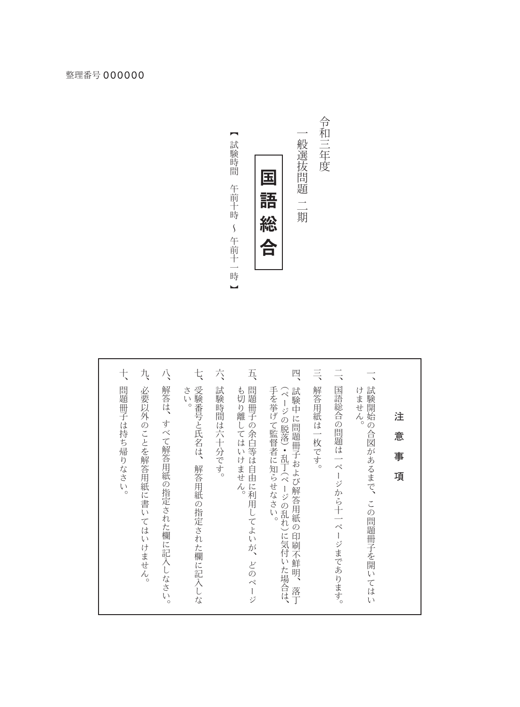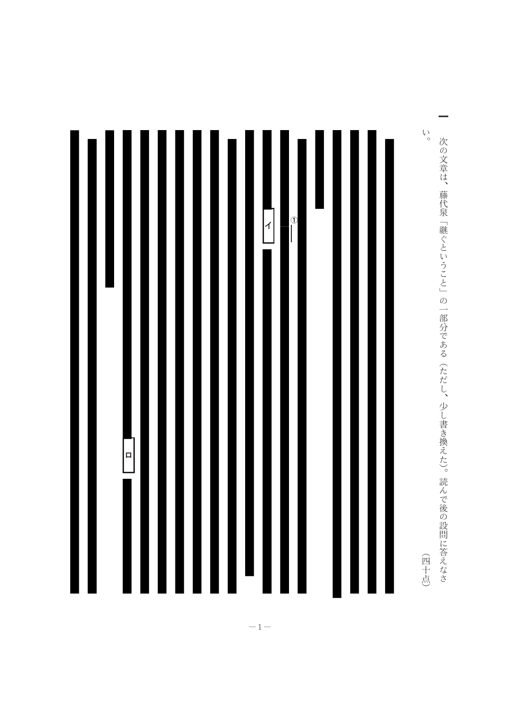

 $\mathop{\backslash}\limits_{\circ}$ 次の文章は、藤代泉「継ぐということ」の一部分である(ただし、少し書き換えた)。読んで後の設問に答えなさ (四十点)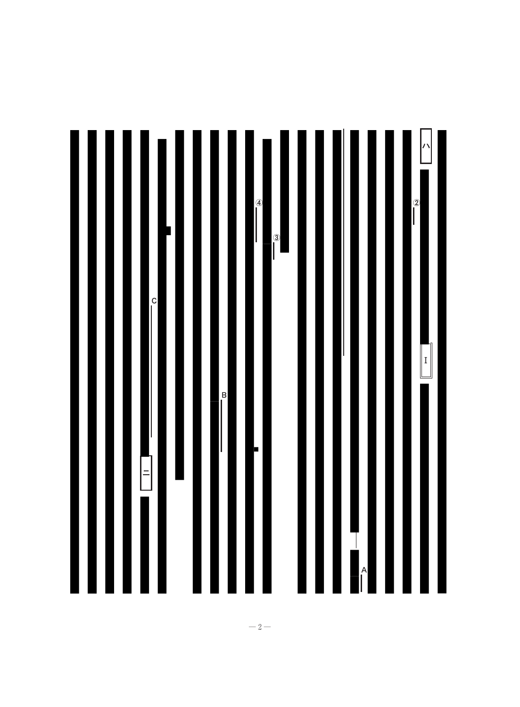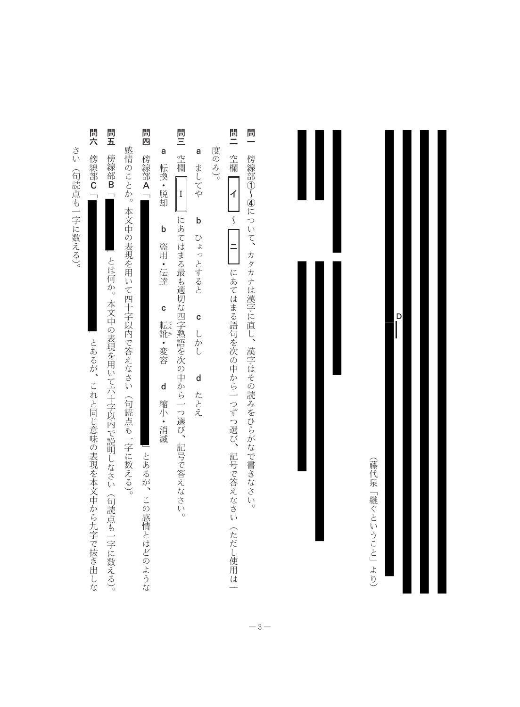

 $\overline{\phantom{a}}^{\mathsf{D}}$ 

(藤代泉「継ぐということ」より)

 $-3-$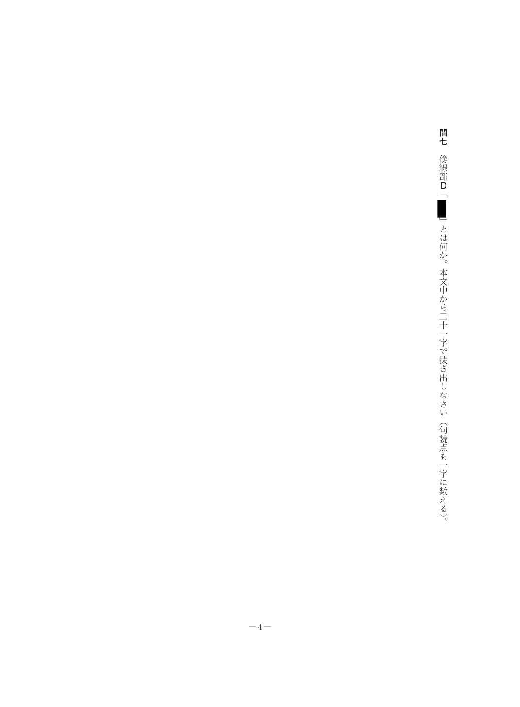問七 傍線部D「■■」とは何か。本文中から二十一字で抜き出しなさい (句読点も一字に数える)。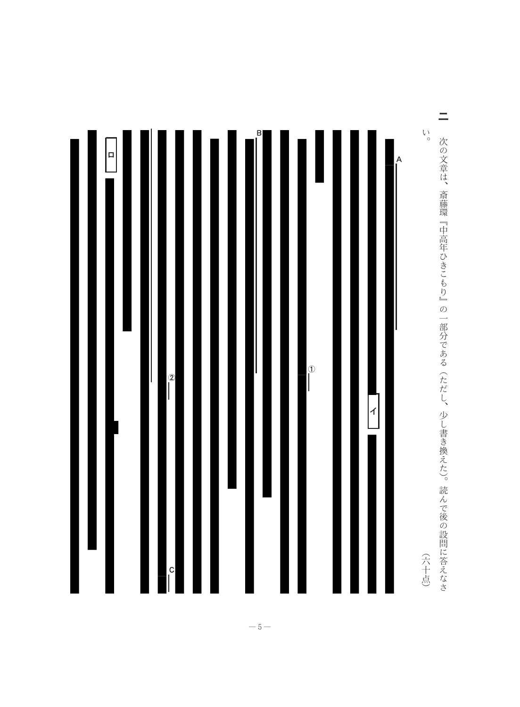

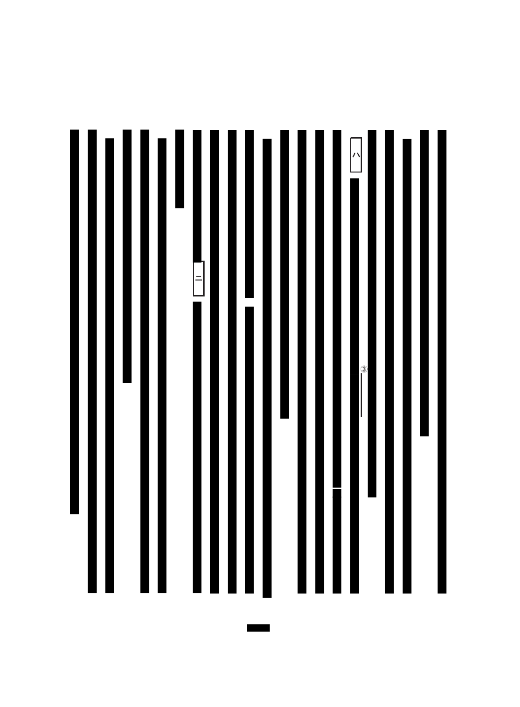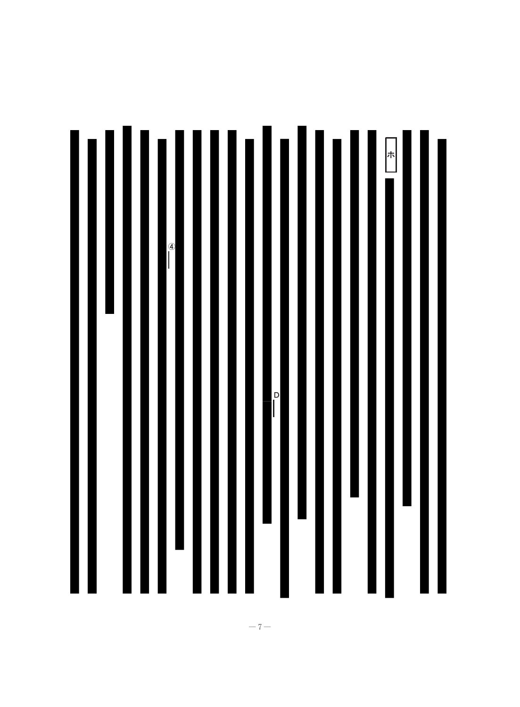

 $-7-$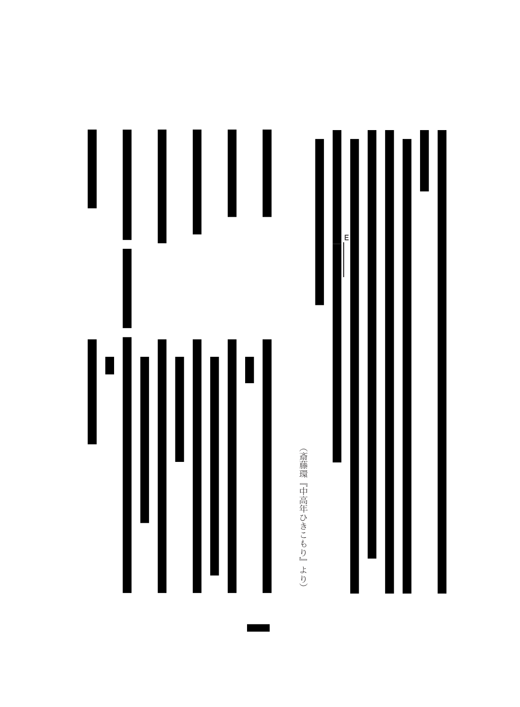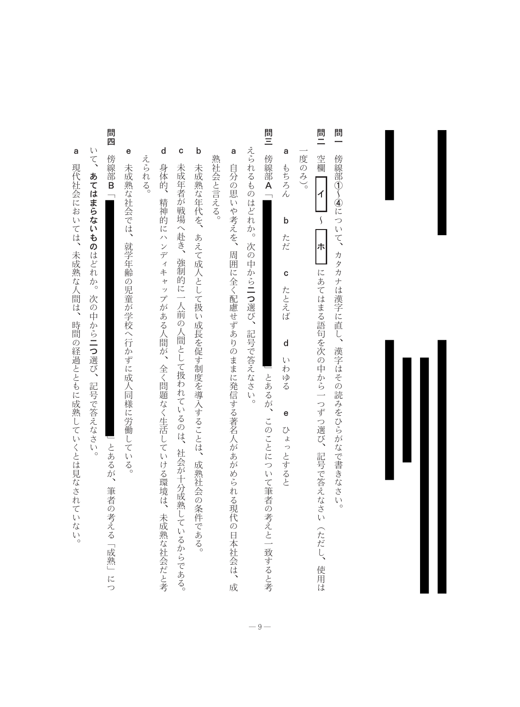- 問<br>一 傍線部①~④について、カタカナは漢字に直し、漢字はその読みをひらがなで書きなさい。
- 問<br>二 空欄 度のみ)。  $\Bigg\vert$   $\Bigg\vert$   $\Bigg\vert$  $\sqrt{2}$ |<br>|ホ | にあてはまる語句を次の中から一つずつ選び、記号で答えなさい(ただし、使用は
- a もちろん  $\mathsf b$ ただ  $\mathbf{c}$ たとえば  $\mathsf{d}$ いわゆる e ひょっとすると
- 問三 傍線部A「 えられるものはどれか。次の中から二つ選び、記号で答えなさい。 」とあるが、このことについて筆者の考えと一致すると考

 $-9-$ 

- a 熟社会と言える。 自分の思いや考えを、周囲に全く配慮せずありのままに発信する著名人があがめられる現代の日本社会は、成
- $\mathsf{b}$ 未成熟な年代を、あえて成人として扱い成長を促す制度を導入することは、成熟社会の条件である。
- $\mathsf{d}$  $\mathbf{c}$ えられる。 身体的、精神的にハンディキャップがある人間が、全く問題なく生活していける環境は、未成熟な社会だと考 未成年者が戦場へ赴き、強制的に一人前の人間として扱われているのは、社会が十分成熟しているからである。
- e 未成熟な社会では、就学年齢の児童が学校へ行かずに成人同様に労働している。
- 問四 傍線部B 「
- いて、あてはまらないものはどれか。次の中から二つ選び、記号で答えなさい。

」とあるが、筆者の考える「成熟」につ

a 現代社会においては、未成熟な人間は、時間の経過とともに成熟していくとは見なされていない。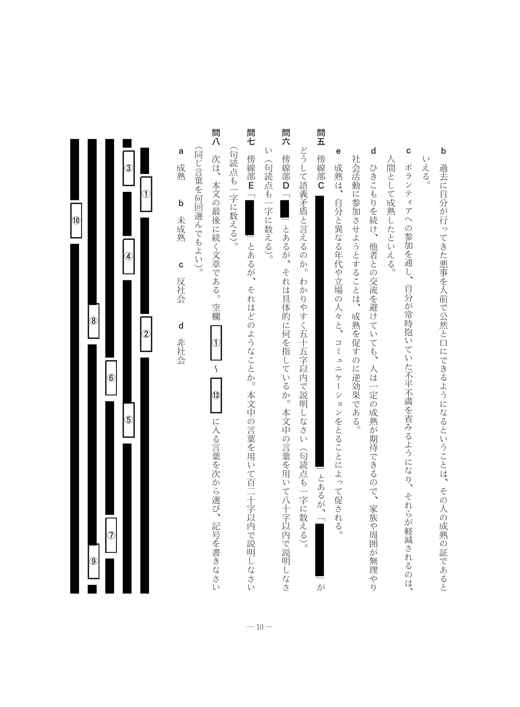- $\mathsf{b}$ いえる。 過去に自分が行ってきた悪事を人前で公然と口にできるようになるということは、その人の成熟の証であると
- $\mathbf{c}$ 人間として成熟したといえる。 ボランティアへの参加を通し、 自分が常時抱いていた不平不満を省みるようになり、 それらが軽減されるのは、
- $\mathsf{d}$ 社会活動に参加させようとすることは、成熟を促すのに逆効果である。 ひきこもりを続け、他者との交流を避けていても、人は一定の成熟が期待できるので、 家族や周囲が無理やり
- $\mathbf{e}$ 成熟は、自分と異なる年代や立場の人々と、コミュニケーションをとることによって促される。
- 問<br>五 傍線部C 」とあるが、「 が
- どうして語義矛盾と言えるのか。 わかりやすく五十五字以内で説明しなさい (句読点も一字に数える)。
- 問六  $\sqrt{ }$ 傍線部D「\_\_」とあるが、それは具体的に何を指しているか。本文中の言葉を用いて八十字以内で説明しなさ (句読点も一字に数える)。
- 問七 (句読点も一字に数える)。 傍線部E 」とあるが、それはどのようなことか。本文中の言葉を用いて百二十字以内で説明しなさい
- 問八 (同じ言葉を何回選んでもよい)。 次は、本文の最後に続く文章である。空欄  $\bigcirc$  $\boldsymbol{\zeta}$ 13 に入る言葉を次から選び、記号を書きなさい
- 成熟  $\mathsf b$ 未成熟  $\mathbf{c}$ 反社会  ${\sf d}$ 非社会

a

| 10 |               |               | $\circled{3}$<br>$\circledast$ | Í              |
|----|---------------|---------------|--------------------------------|----------------|
|    | $\circledS$   | $\circledast$ | $\circledS$                    | $\overline{2}$ |
|    | $\circledast$ | Ĵ             |                                |                |